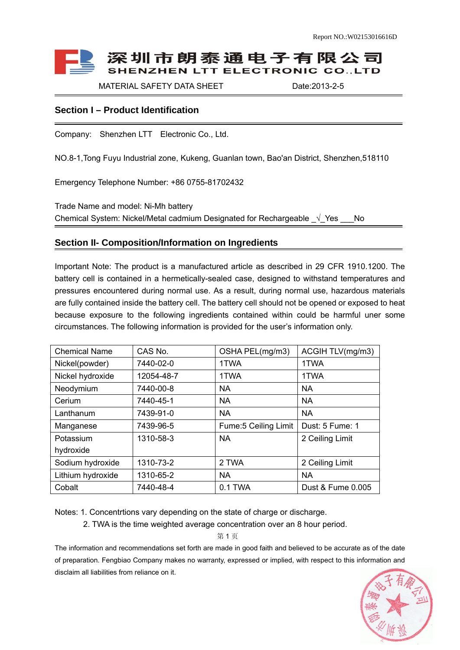# 深圳市朗泰通电子有限公司 **SHENZHEN LTT ELECTRONIC CO., LTD**

MATERIAL SAFETY DATA SHEET Date:2013-2-5

## **Section I – Product Identification**

Company: Shenzhen LTT Electronic Co., Ltd.

NO.8-1,Tong Fuyu Industrial zone, Kukeng, Guanlan town, Bao'an District, Shenzhen,518110

Emergency Telephone Number: +86 0755-81702432

Trade Name and model: Ni-Mh battery Chemical System: Nickel/Metal cadmium Designated for Rechargeable  $\sqrt{Y}$ es No

### **Section II- Composition/Information on Ingredients**

Important Note: The product is a manufactured article as described in 29 CFR 1910.1200. The battery cell is contained in a hermetically-sealed case, designed to withstand temperatures and pressures encountered during normal use. As a result, during normal use, hazardous materials are fully contained inside the battery cell. The battery cell should not be opened or exposed to heat because exposure to the following ingredients contained within could be harmful uner some circumstances. The following information is provided for the user's information only.

| <b>Chemical Name</b> | CAS No.    | OSHA PEL(mg/m3)       | ACGIH TLV(mg/m3)  |
|----------------------|------------|-----------------------|-------------------|
| Nickel(powder)       | 7440-02-0  | 1TWA                  | 1TWA              |
| Nickel hydroxide     | 12054-48-7 | 1TWA                  | 1TWA              |
| Neodymium            | 7440-00-8  | <b>NA</b>             | <b>NA</b>         |
| Cerium               | 7440-45-1  | <b>NA</b>             | <b>NA</b>         |
| Lanthanum            | 7439-91-0  | <b>NA</b>             | <b>NA</b>         |
| Manganese            | 7439-96-5  | Fume: 5 Ceiling Limit | Dust: 5 Fume: 1   |
| Potassium            | 1310-58-3  | <b>NA</b>             | 2 Ceiling Limit   |
| hydroxide            |            |                       |                   |
| Sodium hydroxide     | 1310-73-2  | 2 TWA                 | 2 Ceiling Limit   |
| Lithium hydroxide    | 1310-65-2  | <b>NA</b>             | <b>NA</b>         |
| Cobalt               | 7440-48-4  | 0.1 TWA               | Dust & Fume 0.005 |

Notes: 1. Concentrtions vary depending on the state of charge or discharge.

2. TWA is the time weighted average concentration over an 8 hour period.

第 1 页

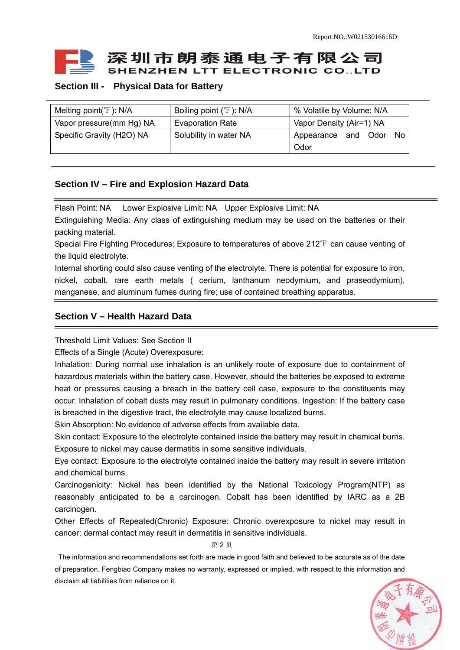

# **Section III - Physical Data for Battery**

| Melting point( ${}^{\circ}\text{F}$ ): N/A | Boiling point (°F): N/A | % Volatile by Volume: N/A      |  |
|--------------------------------------------|-------------------------|--------------------------------|--|
| Vapor pressure(mm Hg) NA                   | <b>Evaporation Rate</b> | Vapor Density (Air=1) NA       |  |
| Specific Gravity (H2O) NA                  | Solubility in water NA  | Odor<br>Appearance and<br>- No |  |
|                                            |                         | Odor                           |  |

### **Section IV – Fire and Explosion Hazard Data**

Flash Point: NA Lower Explosive Limit: NA Upper Explosive Limit: NA

Extinguishing Media: Any class of extinguishing medium may be used on the batteries or their packing material.

Special Fire Fighting Procedures: Exposure to temperatures of above 212℉ can cause venting of the liquid electrolyte.

Internal shorting could also cause venting of the electrolyte. There is potential for exposure to iron, nickel, cobalt, rare earth metals ( cerium, lanthanum neodymium, and praseodymium), manganese, and aluminum fumes during fire; use of contained breathing apparatus.

## **Section V – Health Hazard Data**

Threshold Limit Values: See Section II

Effects of a Single (Acute) Overexposure:

Inhalation: During normal use inhalation is an unlikely route of exposure due to containment of hazardous materials within the battery case. However, should the batteries be exposed to extreme heat or pressures causing a breach in the battery cell case, exposure to the constituents may occur. Inhalation of cobalt dusts may result in pulmonary conditions. Ingestion: If the battery case is breached in the digestive tract, the electrolyte may cause localized burns.

Skin Absorption: No evidence of adverse effects from available data.

Skin contact: Exposure to the electrolyte contained inside the battery may result in chemical burns. Exposure to nickel may cause dermatitis in some sensitive individuals.

Eye contact: Exposure to the electrolyte contained inside the battery may result in severe irritation and chemical burns.

Carcinogenicity: Nickel has been identified by the National Toxicology Program(NTP) as reasonably anticipated to be a carcinogen. Cobalt has been identified by IARC as a 2B carcinogen.

Other Effects of Repeated(Chronic) Exposure: Chronic overexposure to nickel may result in cancer; dermal contact may result in dermatitis in sensitive individuals.

第 2 页

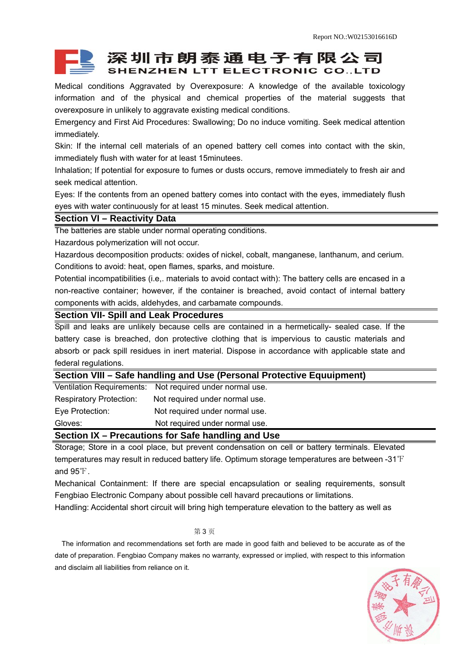# 深圳市朗泰通电子有限公司 **SHENZHEN LTT ELECTRONIC CO., LTD**

Medical conditions Aggravated by Overexposure: A knowledge of the available toxicology information and of the physical and chemical properties of the material suggests that overexposure in unlikely to aggravate existing medical conditions.

Emergency and First Aid Procedures: Swallowing; Do no induce vomiting. Seek medical attention immediately.

Skin: If the internal cell materials of an opened battery cell comes into contact with the skin, immediately flush with water for at least 15minutees.

Inhalation; If potential for exposure to fumes or dusts occurs, remove immediately to fresh air and seek medical attention.

Eyes: If the contents from an opened battery comes into contact with the eyes, immediately flush eyes with water continuously for at least 15 minutes. Seek medical attention.

#### **Section VI – Reactivity Data**

The batteries are stable under normal operating conditions.

Hazardous polymerization will not occur.

Hazardous decomposition products: oxides of nickel, cobalt, manganese, lanthanum, and cerium. Conditions to avoid: heat, open flames, sparks, and moisture.

Potential incompatibilities (i.e,. materials to avoid contact with): The battery cells are encased in a non-reactive container; however, if the container is breached, avoid contact of internal battery components with acids, aldehydes, and carbamate compounds.

### **Section VII- Spill and Leak Procedures**

Spill and leaks are unlikely because cells are contained in a hermetically- sealed case. If the battery case is breached, don protective clothing that is impervious to caustic materials and absorb or pack spill residues in inert material. Dispose in accordance with applicable state and federal regulations.

#### **Section VIII – Safe handling and Use (Personal Protective Equuipment)**

| Gloves:                          | Not required under normal use. |  |  |
|----------------------------------|--------------------------------|--|--|
| Eye Protection:                  | Not required under normal use. |  |  |
| <b>Respiratory Protection:</b>   | Not required under normal use. |  |  |
| <b>Ventilation Requirements:</b> | Not required under normal use. |  |  |

**Section IX – Precautions for Safe handling and Use** 

Storage; Store in a cool place, but prevent condensation on cell or battery terminals. Elevated temperatures may result in reduced battery life. Optimum storage temperatures are between -31℉ and 95℉.

Mechanical Containment: If there are special encapsulation or sealing requirements, sonsult Fengbiao Electronic Company about possible cell havard precautions or limitations.

Handling: Accidental short circuit will bring high temperature elevation to the battery as well as

#### 第 3 页